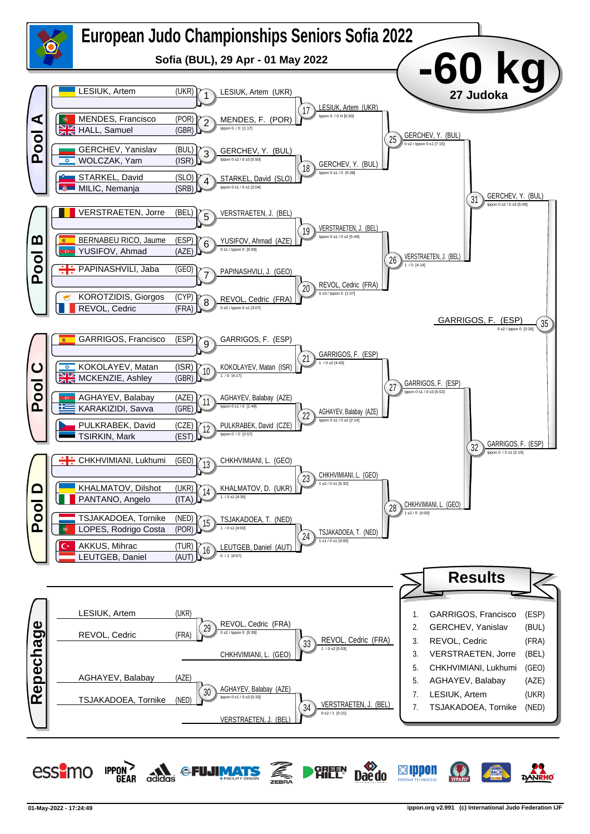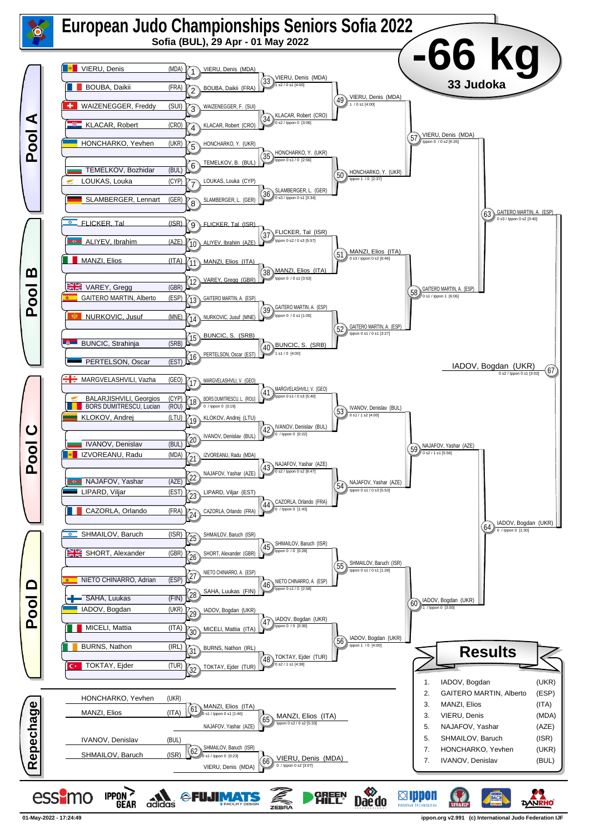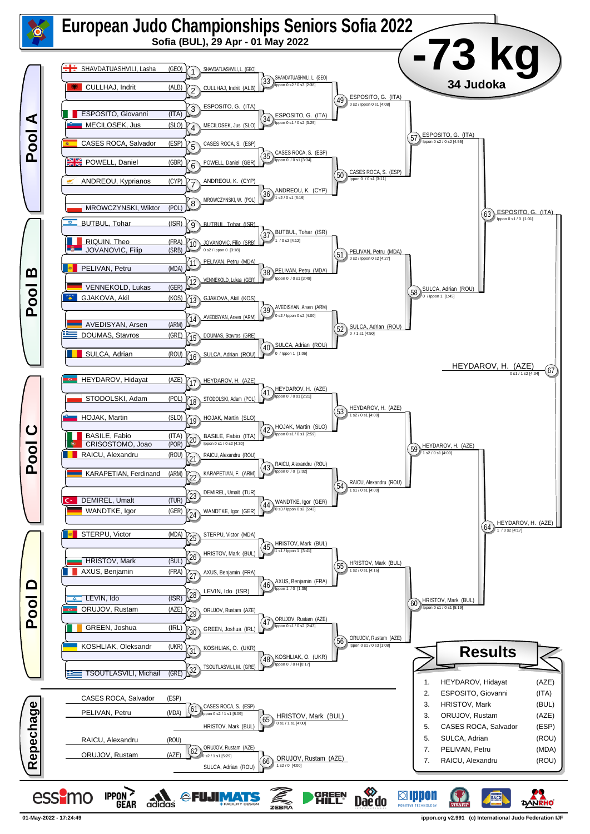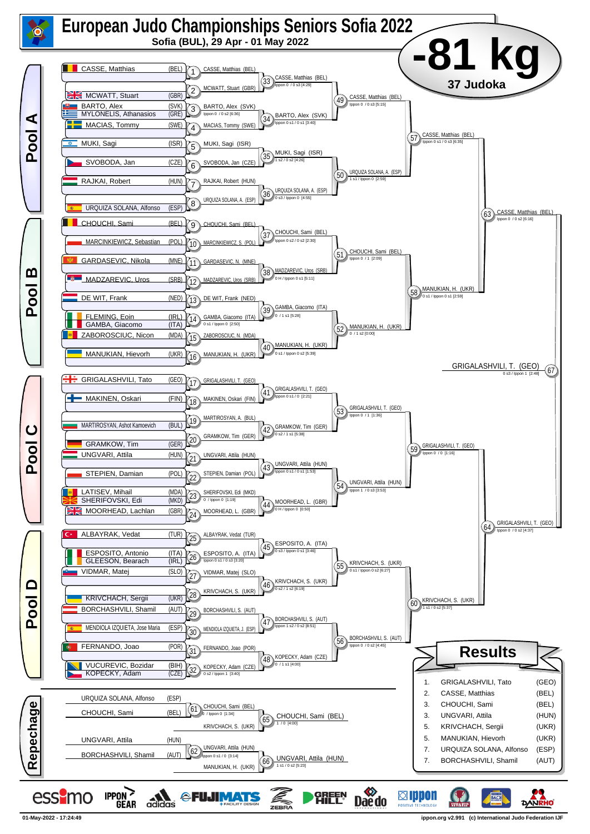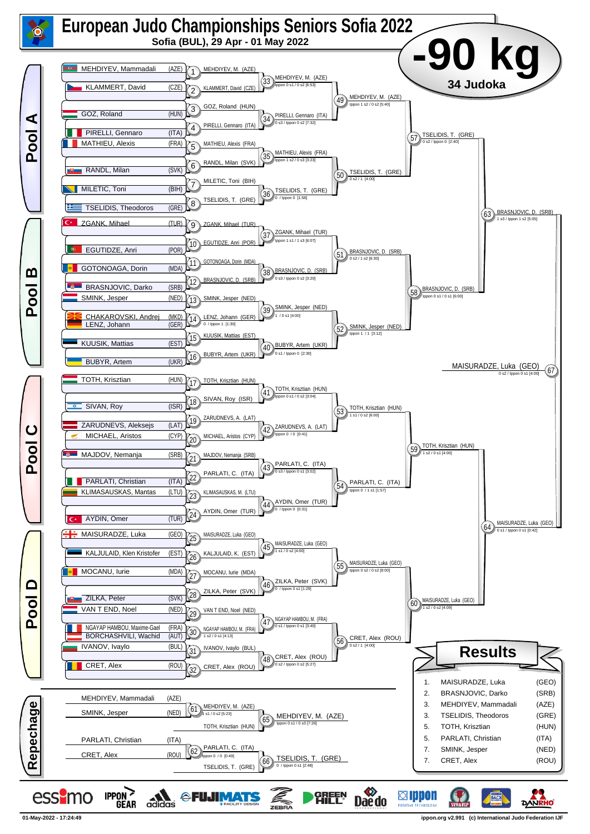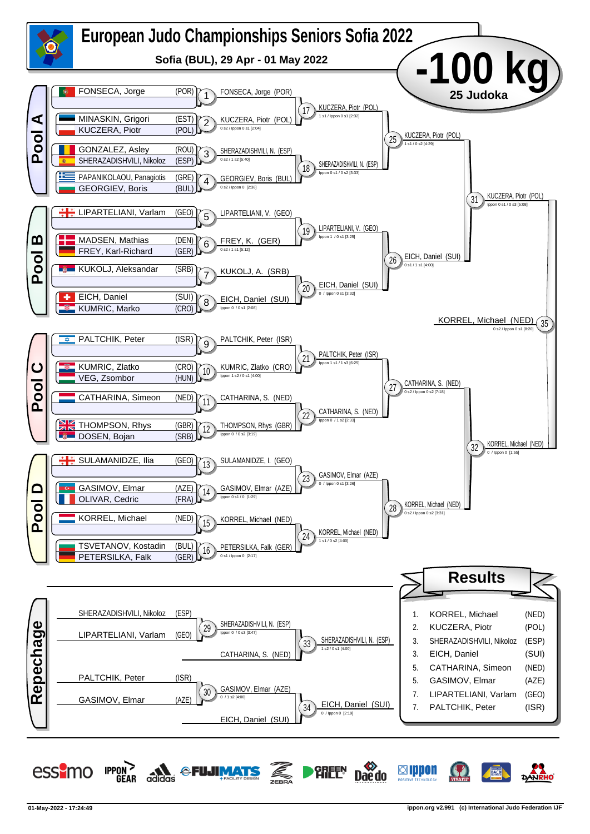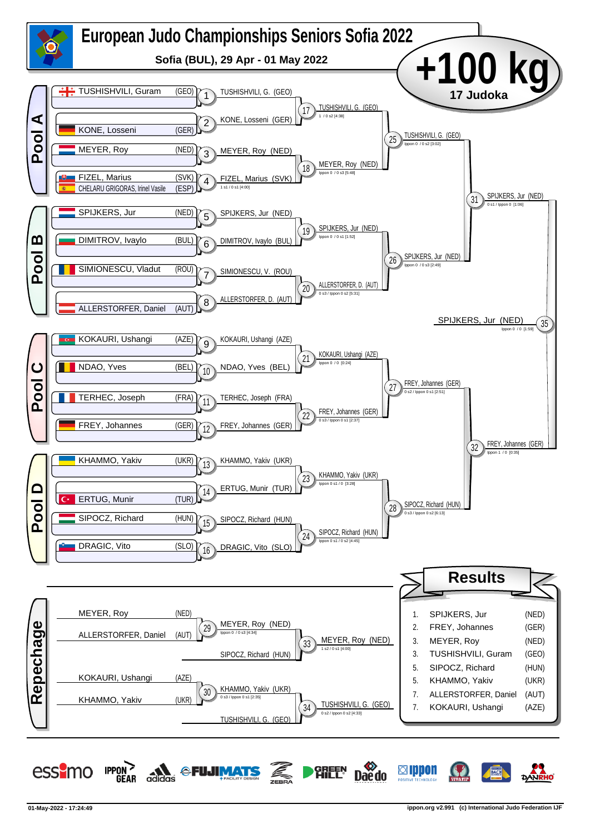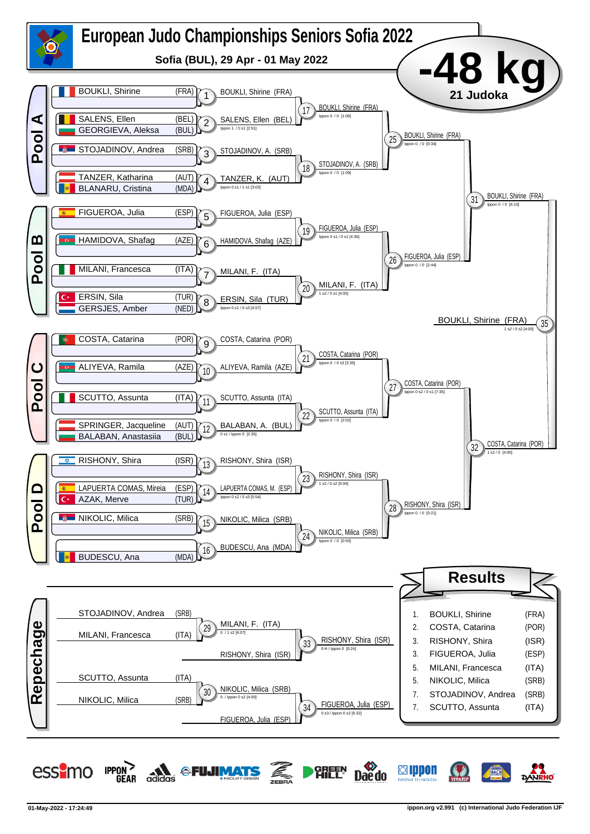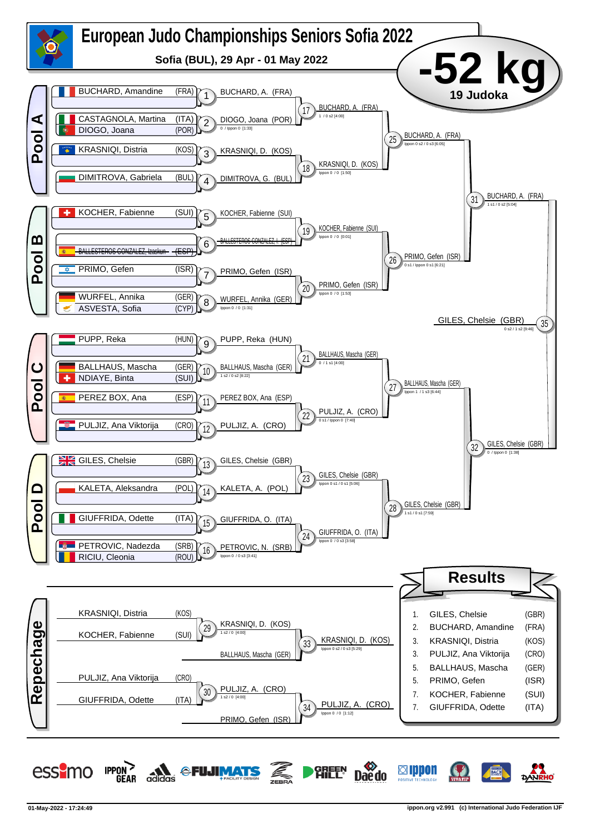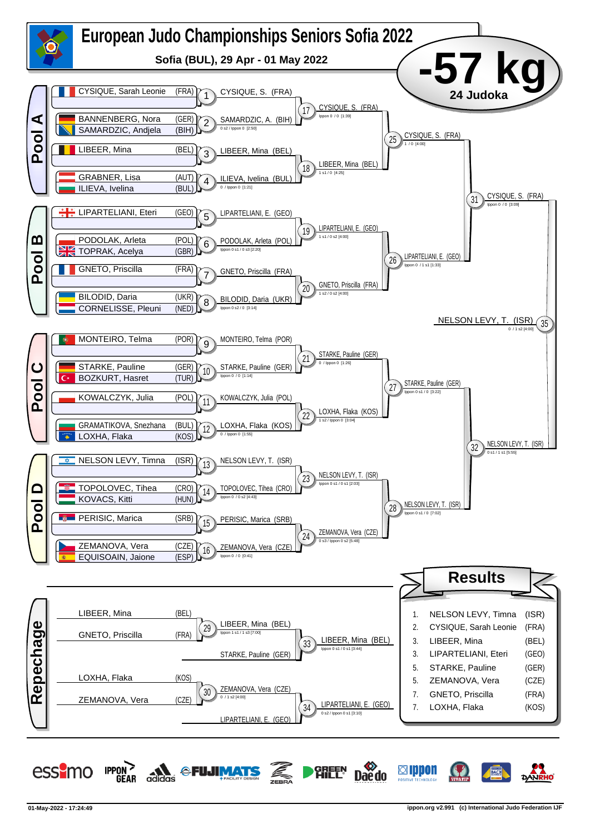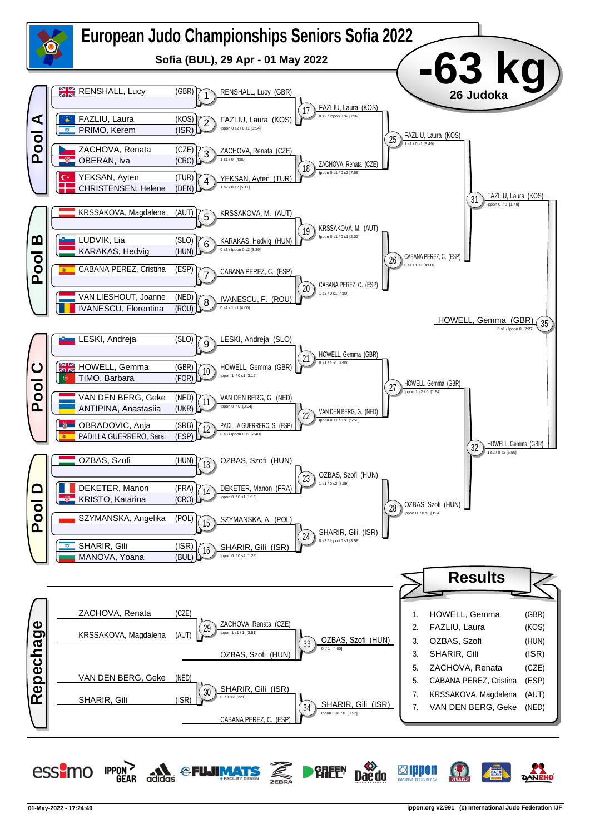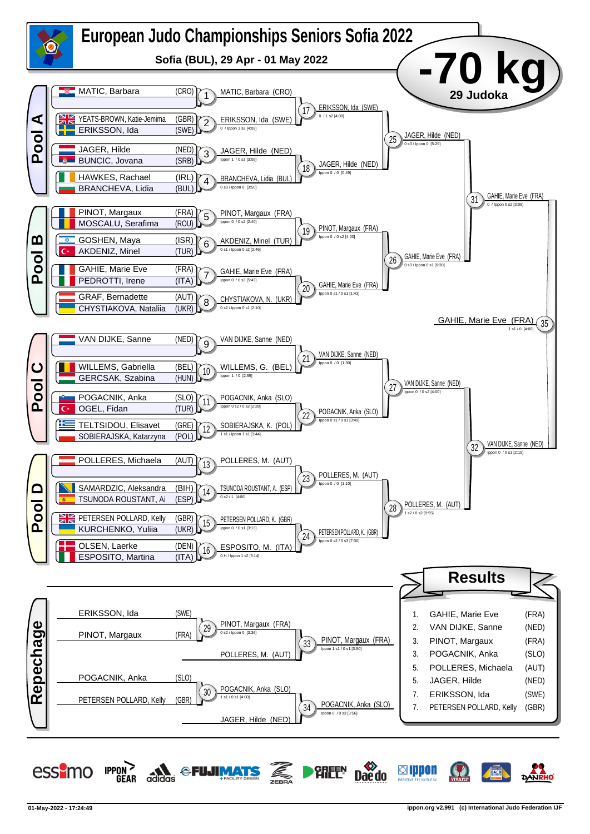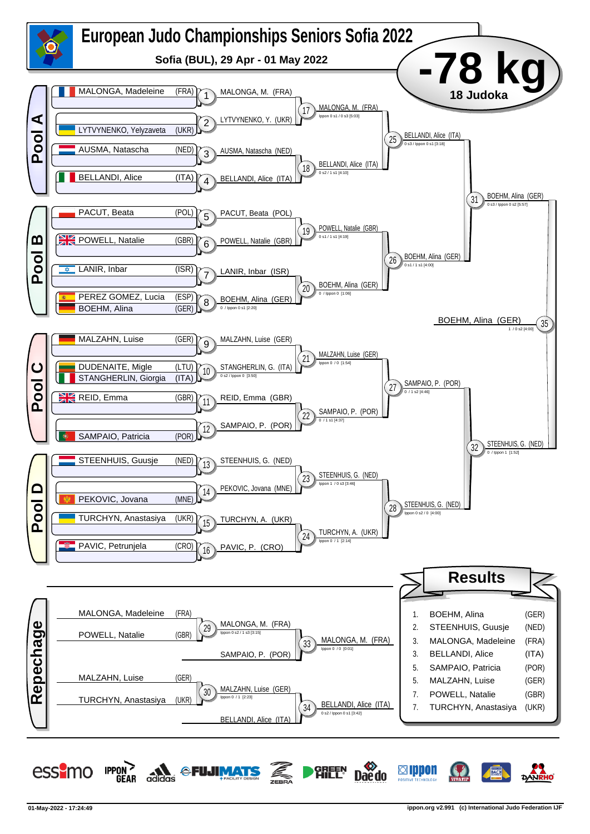